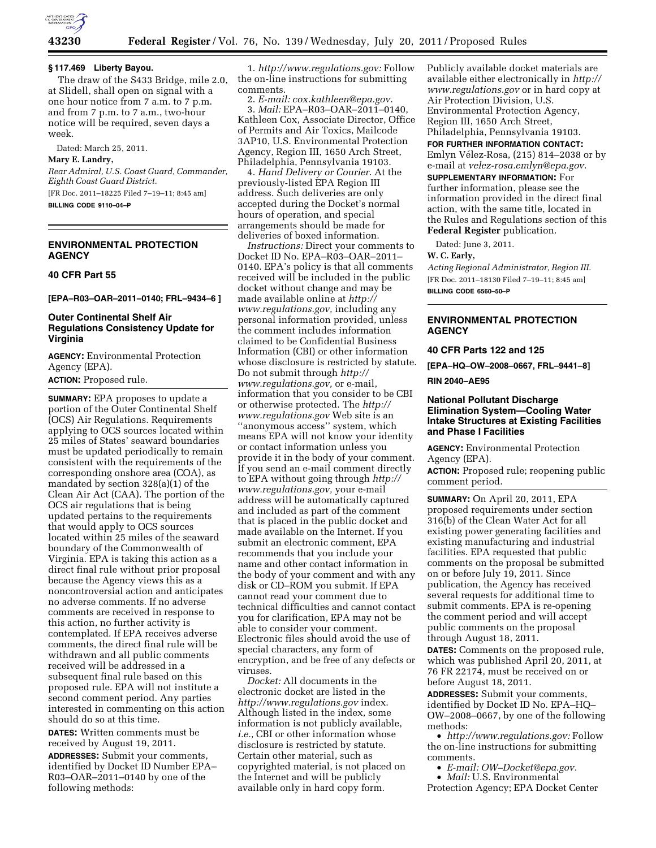

#### **§ 117.469 Liberty Bayou.**

The draw of the S433 Bridge, mile 2.0, at Slidell, shall open on signal with a one hour notice from 7 a.m. to 7 p.m. and from 7 p.m. to 7 a.m., two-hour notice will be required, seven days a week.

Dated: March 25, 2011.

### **Mary E. Landry,**

*Rear Admiral, U.S. Coast Guard, Commander, Eighth Coast Guard District.* 

[FR Doc. 2011–18225 Filed 7–19–11; 8:45 am]

**BILLING CODE 9110–04–P** 

## **ENVIRONMENTAL PROTECTION AGENCY**

### **40 CFR Part 55**

**[EPA–R03–OAR–2011–0140; FRL–9434–6 ]** 

### **Outer Continental Shelf Air Regulations Consistency Update for Virginia**

**AGENCY:** Environmental Protection Agency (EPA). **ACTION:** Proposed rule.

**SUMMARY:** EPA proposes to update a portion of the Outer Continental Shelf (OCS) Air Regulations. Requirements applying to OCS sources located within 25 miles of States' seaward boundaries must be updated periodically to remain consistent with the requirements of the corresponding onshore area (COA), as mandated by section 328(a)(1) of the Clean Air Act (CAA). The portion of the OCS air regulations that is being updated pertains to the requirements that would apply to OCS sources located within 25 miles of the seaward boundary of the Commonwealth of Virginia. EPA is taking this action as a direct final rule without prior proposal because the Agency views this as a noncontroversial action and anticipates no adverse comments. If no adverse comments are received in response to this action, no further activity is contemplated. If EPA receives adverse comments, the direct final rule will be withdrawn and all public comments received will be addressed in a subsequent final rule based on this proposed rule. EPA will not institute a second comment period. Any parties interested in commenting on this action should do so at this time.

**DATES:** Written comments must be received by August 19, 2011.

**ADDRESSES:** Submit your comments, identified by Docket ID Number EPA– R03–OAR–2011–0140 by one of the following methods:

1. *[http://www.regulations.gov:](http://www.regulations.gov)* Follow the on-line instructions for submitting comments.

2. *E-mail: [cox.kathleen@epa.gov.](mailto:cox.kathleen@epa.gov)*  3. *Mail:* EPA–R03–OAR–2011–0140, Kathleen Cox, Associate Director, Office of Permits and Air Toxics, Mailcode 3AP10, U.S. Environmental Protection Agency, Region III, 1650 Arch Street, Philadelphia, Pennsylvania 19103.

4. *Hand Delivery or Courier*. At the previously-listed EPA Region III address. Such deliveries are only accepted during the Docket's normal hours of operation, and special arrangements should be made for deliveries of boxed information.

*Instructions:* Direct your comments to Docket ID No. EPA–R03–OAR–2011– 0140. EPA's policy is that all comments received will be included in the public docket without change and may be made available online at *[http://](http://www.regulations.gov)  [www.regulations.gov,](http://www.regulations.gov)* including any personal information provided, unless the comment includes information claimed to be Confidential Business Information (CBI) or other information whose disclosure is restricted by statute. Do not submit through *[http://](http://www.regulations.gov) [www.regulations.gov,](http://www.regulations.gov)* or e-mail, information that you consider to be CBI or otherwise protected. The *[http://](http://www.regulations.gov)  [www.regulations.gov](http://www.regulations.gov)* Web site is an ''anonymous access'' system, which means EPA will not know your identity or contact information unless you provide it in the body of your comment. If you send an e-mail comment directly to EPA without going through *[http://](http://www.regulations.gov) [www.regulations.gov,](http://www.regulations.gov)* your e-mail address will be automatically captured and included as part of the comment that is placed in the public docket and made available on the Internet. If you submit an electronic comment, EPA recommends that you include your name and other contact information in the body of your comment and with any disk or CD–ROM you submit. If EPA cannot read your comment due to technical difficulties and cannot contact you for clarification, EPA may not be able to consider your comment. Electronic files should avoid the use of special characters, any form of encryption, and be free of any defects or viruses.

*Docket:* All documents in the electronic docket are listed in the *<http://www.regulations.gov>* index. Although listed in the index, some information is not publicly available, *i.e.,* CBI or other information whose disclosure is restricted by statute. Certain other material, such as copyrighted material, is not placed on the Internet and will be publicly available only in hard copy form.

Publicly available docket materials are available either electronically in *[http://](http://www.regulations.gov) [www.regulations.gov](http://www.regulations.gov)* or in hard copy at Air Protection Division, U.S. Environmental Protection Agency, Region III, 1650 Arch Street, Philadelphia, Pennsylvania 19103.

**FOR FURTHER INFORMATION CONTACT:**  Emlyn Vélez-Rosa,  $(215)$  814–2038 or by e-mail at *[velez-rosa.emlyn@epa.gov](mailto:velez-rosa.emlyn@epa.gov)*. **SUPPLEMENTARY INFORMATION:** For

further information, please see the information provided in the direct final action, with the same title, located in the Rules and Regulations section of this **Federal Register** publication.

Dated: June 3, 2011.

#### **W. C. Early,**

*Acting Regional Administrator, Region III.*  [FR Doc. 2011–18130 Filed 7–19–11; 8:45 am] **BILLING CODE 6560–50–P** 

# **ENVIRONMENTAL PROTECTION AGENCY**

#### **40 CFR Parts 122 and 125**

**[EPA–HQ–OW–2008–0667, FRL–9441–8]** 

#### **RIN 2040–AE95**

### **National Pollutant Discharge Elimination System—Cooling Water Intake Structures at Existing Facilities and Phase I Facilities**

**AGENCY:** Environmental Protection Agency (EPA).

**ACTION:** Proposed rule; reopening public comment period.

**SUMMARY:** On April 20, 2011, EPA proposed requirements under section 316(b) of the Clean Water Act for all existing power generating facilities and existing manufacturing and industrial facilities. EPA requested that public comments on the proposal be submitted on or before July 19, 2011. Since publication, the Agency has received several requests for additional time to submit comments. EPA is re-opening the comment period and will accept public comments on the proposal through August 18, 2011.

**DATES:** Comments on the proposed rule, which was published April 20, 2011, at 76 FR 22174, must be received on or before August 18, 2011.

**ADDRESSES:** Submit your comments, identified by Docket ID No. EPA–HQ– OW–2008–0667, by one of the following methods:

• *[http://www.regulations.gov:](http://www.regulations.gov)* Follow the on-line instructions for submitting comments.

• *E-mail: [OW–Docket@epa.gov.](mailto:OW-Docket@epa.gov)*  • *Mail:* U.S. Environmental

Protection Agency; EPA Docket Center